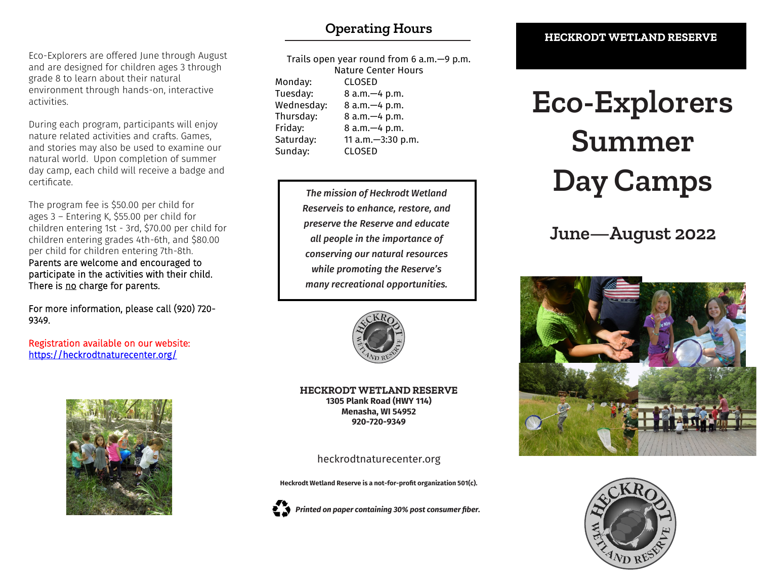# **Operating Hours**

Eco-Explorers are offered June through August and are designed for children ages 3 through grade 8 to learn about their natural environment through hands-on, interactive activities.

During each program, participants will enjoy nature related activities and crafts. Games, and stories may also be used to examine our natural world. Upon completion of summer day camp, each child will receive a badge and certificate.

The program fee is \$50.00 per child for ages 3 – Entering K, \$55.00 per child for children entering 1st - 3rd, \$70.00 per child for children entering grades 4th-6th, and \$80.00 per child for children entering 7th-8th. Parents are welcome and encouraged to participate in the activities with their child. There is no charge for parents.

For more information, please call (920) 720- 9349.

Registration available on our website: <https://heckrodtnaturecenter.org/>



| Trails open year round from $6$ a.m. $-9$ p.m. |                   |
|------------------------------------------------|-------------------|
| <b>Nature Center Hours</b>                     |                   |
| Monday:                                        | <b>CLOSED</b>     |
| Tuesday:                                       | 8 a.m. - 4 p.m.   |
| Wednesday:                                     | 8 a.m. - 4 p.m.   |
| Thursday:                                      | 8 a.m. - 4 p.m.   |
| Friday:                                        | 8 a.m. - 4 p.m.   |
| Saturday:                                      | 11 a.m.-3:30 p.m. |
| Sunday:                                        | <b>CLOSED</b>     |

*The mission of Heckrodt Wetland Reserveis to enhance, restore, and preserve the Reserve and educate all people in the importance of conserving our natural resources while promoting the Reserve's many recreational opportunities.*



**HECKRODT WETLAND RESERVE 1305 Plank Road (HWY 114) Menasha, WI 54952 920-720-9349**

heckrodtnaturecenter.org

**Heckrodt Wetland Reserve is a not-for-profit organization 501(c).**



*Printed on paper containing 30% post consumer fiber.*

#### **HECKRODT WETLAND RESERVE**

# **Eco-Explorers Summer Day Camps**

# **June—August 2022**